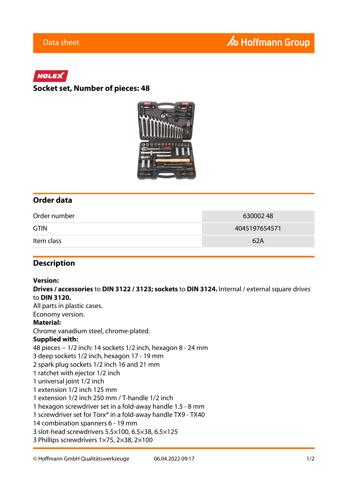# HOLEX

### **Socket set, Number of pieces: 48**



### **Order data**

| Order number | 63000248      |
|--------------|---------------|
| <b>GTIN</b>  | 4045197654571 |
| Item class   | 62A           |

### **Description**

#### **Version:**

**Drives / accessories** to **DIN 3122 / 3123; sockets** to **DIN 3124.** Internal / external square drives to **DIN 3120.**

All parts in plastic cases. Economy version.

#### **Material:**

Chrome vanadium steel, chrome-plated.

#### **Supplied with:**

48 pieces − 1/2 inch: 14 sockets 1/2 inch, hexagon 8 - 24 mm 3 deep sockets 1/2 inch, hexagon 17 - 19 mm 2 spark plug sockets 1/2 inch 16 and 21 mm 1 ratchet with ejector 1/2 inch 1 universal joint 1/2 inch 1 extension 1/2 inch 125 mm 1 extension 1/2 inch 250 mm / T-handle 1/2 inch 1 hexagon screwdriver set in a fold-away handle 1.5 - 8 mm 1 screwdriver set for Torx® in a fold-away handle TX9 - TX40 14 combination spanners 6 - 19 mm 3 slot-head screwdrivers 5.5×100, 6.5×38, 6.5×125

3 Phillips screwdrivers 1×75, 2×38, 2×100